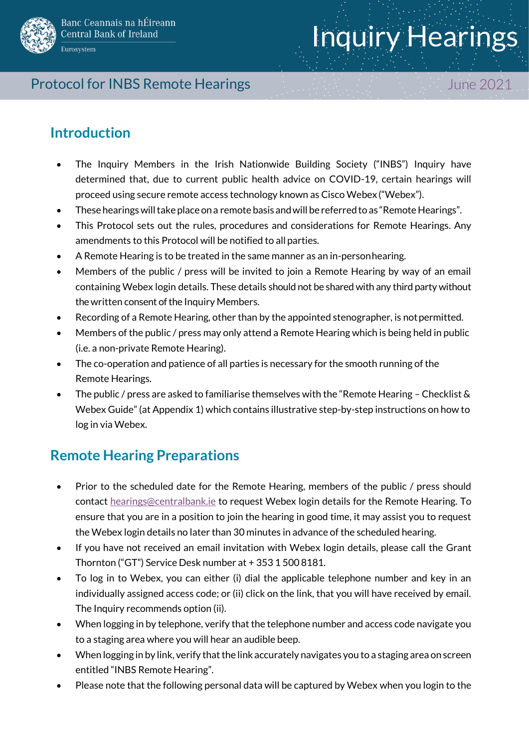

# Inquiry Hearings

#### Protocol for INBS Remote Hearings June 2021

#### **Introduction**

- The Inquiry Members in the Irish Nationwide Building Society ("INBS") Inquiry have determined that, due to current public health advice on COVID-19, certain hearings will proceed using secure remote access technology known as Cisco Webex ("Webex").
- These hearings will take place on a remote basis and will be referred to as "Remote Hearings".
- This Protocol sets out the rules, procedures and considerations for Remote Hearings. Any amendments to this Protocol will be notified to all parties.
- A Remote Hearing is to be treated in the same manner as an in-personhearing.
- Members of the public / press will be invited to join a Remote Hearing by way of an email containing Webex login details. These details should not be shared with any third party without the written consent of the Inquiry Members.
- Recording of a Remote Hearing, other than by the appointed stenographer, is notpermitted.
- Members of the public / press may only attend a Remote Hearing which is being held in public (i.e. a non-private Remote Hearing).
- The co-operation and patience of all parties is necessary for the smooth running of the Remote Hearings.
- The public / press are asked to familiarise themselves with the "Remote Hearing Checklist & Webex Guide" (at Appendix 1) which contains illustrative step-by-step instructions on how to log in via Webex.

# **Remote Hearing Preparations**

- Prior to the scheduled date for the Remote Hearing, members of the public / press should contact [hearings@centralbank.ie](mailto:hearings@centralbank.ie) to request Webex login details for the Remote Hearing. To ensure that you are in a position to join the hearing in good time, it may assist you to request the Webex login details no later than 30 minutes in advance of the scheduled hearing.
- If you have not received an email invitation with Webex login details, please call the Grant Thornton ("GT") Service Desk number at + 353 1 500 8181.
- To log in to Webex, you can either (i) dial the applicable telephone number and key in an individually assigned access code; or (ii) click on the link, that you will have received by email. The Inquiry recommends option (ii).
- When logging in by telephone, verify that the telephone number and access code navigate you to a staging area where you will hear an audible beep.
- When logging in by link, verify that the link accurately navigates you to a staging area on screen entitled "INBS Remote Hearing".
- Please note that the following personal data will be captured by Webex when you login to the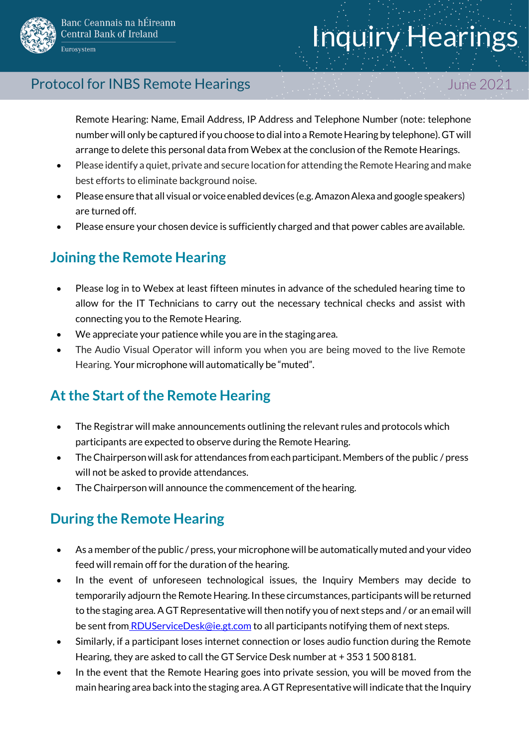



#### Protocol for INBS Remote Hearings June 2021

Remote Hearing: Name, Email Address, IP Address and Telephone Number (note: telephone number will only be captured if you choose to dial into a Remote Hearing by telephone). GT will arrange to delete this personal data from Webex at the conclusion of the Remote Hearings.

- Please identify a quiet, private and secure location for attending the Remote Hearing and make best efforts to eliminate background noise.
- Please ensure that all visual or voice enabled devices (e.g. Amazon Alexa and google speakers) are turned off.
- Please ensure your chosen device is sufficiently charged and that power cables are available.

# **Joining the Remote Hearing**

- Please log in to Webex at least fifteen minutes in advance of the scheduled hearing time to allow for the IT Technicians to carry out the necessary technical checks and assist with connecting you to the Remote Hearing.
- We appreciate your patience while you are in the stagingarea.
- The Audio Visual Operator will inform you when you are being moved to the live Remote Hearing. Your microphone will automatically be "muted".

# **At the Start of the Remote Hearing**

- The Registrar will make announcements outlining the relevant rules and protocols which participants are expected to observe during the Remote Hearing.
- The Chairperson will ask for attendances from each participant. Members of the public / press will not be asked to provide attendances.
- The Chairperson will announce the commencement of the hearing.

# **During the Remote Hearing**

- As a member of the public / press, your microphone will be automatically muted and your video feed will remain off for the duration of the hearing.
- In the event of unforeseen technological issues, the Inquiry Members may decide to temporarily adjourn the Remote Hearing. In these circumstances, participants will be returned to the staging area. A GT Representative will then notify you of next steps and / or an email will be sent from [RDUServiceDesk@ie.gt.com](mailto:RDUServiceDesk@ie.gt.com) to all participants notifying them of next steps.
- Similarly, if a participant loses internet connection or loses audio function during the Remote Hearing, they are asked to call the GT Service Desk number at + 353 1 500 8181.
- In the event that the Remote Hearing goes into private session, you will be moved from the main hearing area back into the staging area. A GT Representative will indicate that the Inquiry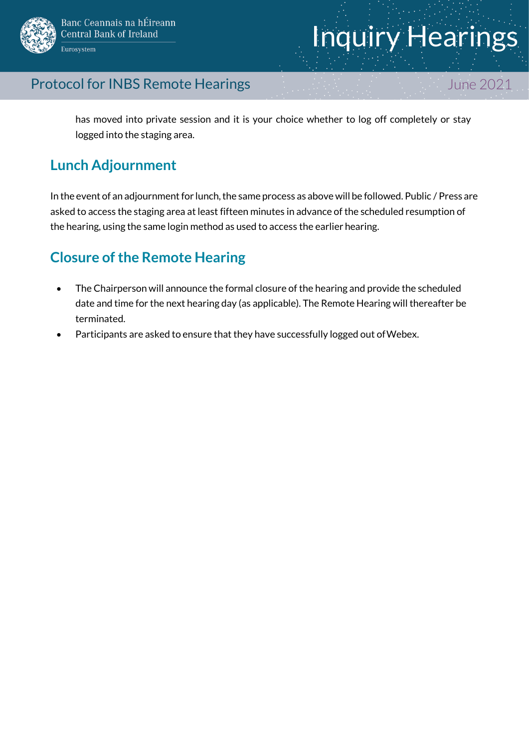

#### Protocol for INBS Remote Hearings June 2021

has moved into private session and it is your choice whether to log off completely or stay logged into the staging area.

#### **Lunch Adjournment**

In the event of an adjournment for lunch, the same process as above will be followed. Public / Press are asked to access the staging area at least fifteen minutes in advance of the scheduled resumption of the hearing, using the same login method as used to access the earlier hearing.

### **Closure of the Remote Hearing**

- The Chairperson will announce the formal closure of the hearing and provide the scheduled date and time for the next hearing day (as applicable). The Remote Hearing will thereafter be terminated.
- Participants are asked to ensure that they have successfully logged out ofWebex.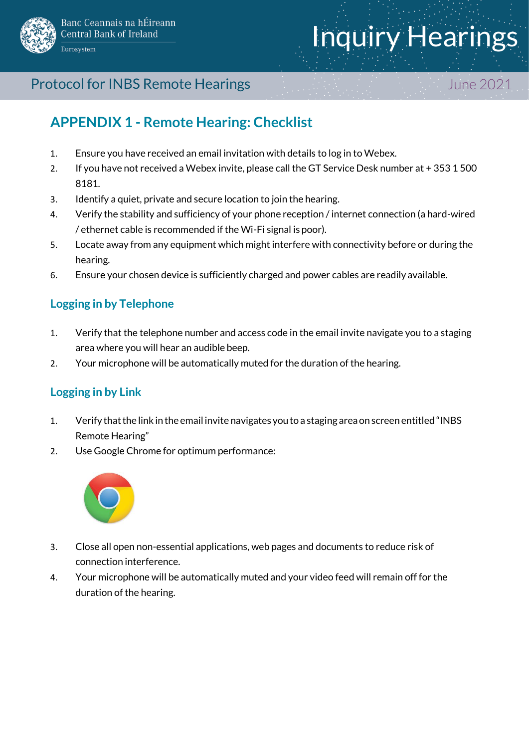

# Inquiry Hearings

#### Protocol for INBS Remote Hearings June 2021

# **APPENDIX 1 - Remote Hearing: Checklist**

- 1. Ensure you have received an email invitation with details to log in to Webex.
- 2. If you have not received a Webex invite, please call the GT Service Desk number at + 353 1 500 8181.
- 3. Identify a quiet, private and secure location to join the hearing.
- 4. Verify the stability and sufficiency of your phone reception / internet connection (a hard-wired / ethernet cable is recommended if the Wi-Fi signal is poor).
- 5. Locate away from any equipment which might interfere with connectivity before or during the hearing.
- 6. Ensure your chosen device is sufficiently charged and power cables are readily available.

#### **Logging in by Telephone**

- 1. Verify that the telephone number and access code in the email invite navigate you to a staging area where you will hear an audible beep.
- 2. Your microphone will be automatically muted for the duration of the hearing.

#### **Logging in by Link**

- 1. Verify thatthe link in the email invite navigates youto a staging areaon screen entitled "INBS Remote Hearing"
- 2. Use Google Chrome for optimum performance:



- 3. Close all open non-essential applications, web pages and documents to reduce risk of connection interference.
- 4. Your microphone will be automatically muted and your video feed will remain off for the duration of the hearing.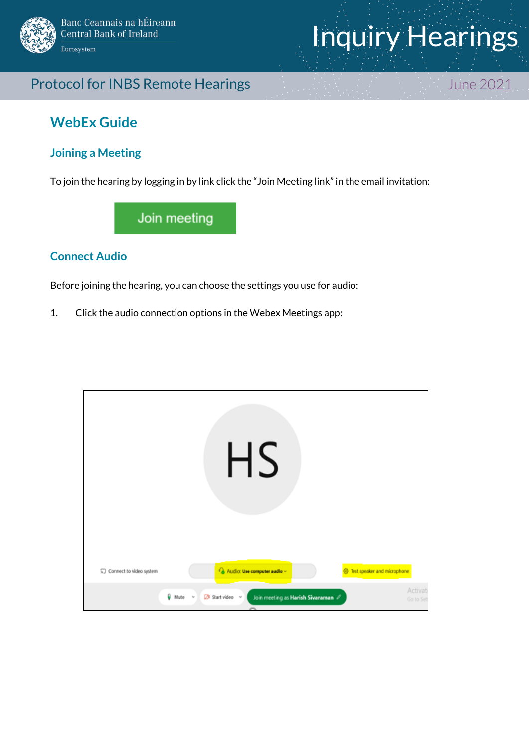

# Inquiry Hearings

#### Protocol for INBS Remote Hearings June 2021

#### **WebEx Guide**

#### **Joining a Meeting**

To join the hearing by logging in by link click the "Join Meeting link"in the email invitation:

Join meeting

#### **Connect Audio**

Before joining the hearing, you can choose the settings you use for audio:

1. Click the audio connection options in the Webex Meetings app:

| Connect to video system | <b>HS</b><br>Fig. Test speaker and microphone<br>Audio: Use computer audio v                                |                      |
|-------------------------|-------------------------------------------------------------------------------------------------------------|----------------------|
|                         | Wute<br>$29$ Start video $\sim$<br>Join meeting as Harish Sivaraman 2<br>$\sim$<br>$\overline{\phantom{a}}$ | Activat<br>Go to Set |